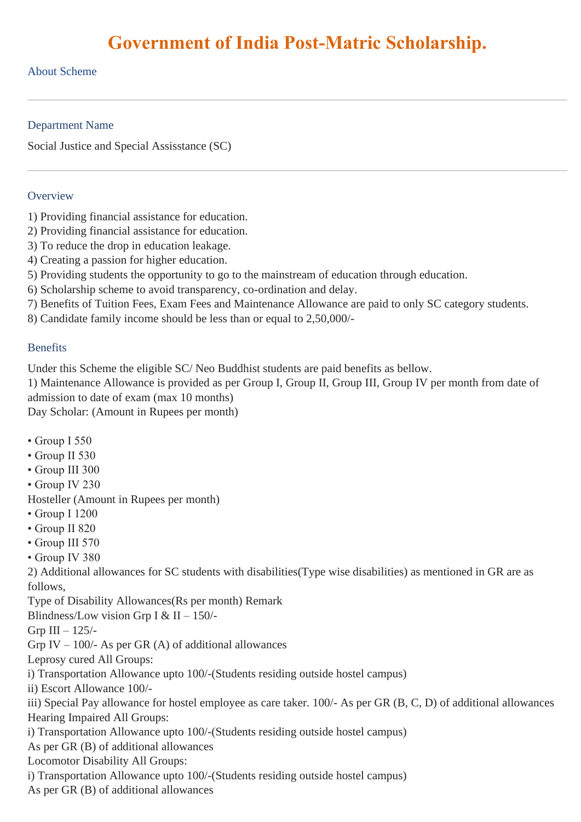# **Government of India Post-Matric Scholarship.**

### About Scheme

#### Department Name

Social Justice and Special Assisstance (SC)

#### **Overview**

- 1) Providing financial assistance for education.
- 2) Providing financial assistance for education.
- 3) To reduce the drop in education leakage.
- 4) Creating a passion for higher education.
- 5) Providing students the opportunity to go to the mainstream of education through education.
- 6) Scholarship scheme to avoid transparency, co-ordination and delay.
- 7) Benefits of Tuition Fees, Exam Fees and Maintenance Allowance are paid to only SC category students.
- 8) Candidate family income should be less than or equal to 2,50,000/-

#### **Benefits**

Under this Scheme the eligible SC/ Neo Buddhist students are paid benefits as bellow.

1) Maintenance Allowance is provided as per Group I, Group II, Group III, Group IV per month from date of admission to date of exam (max 10 months)

Day Scholar: (Amount in Rupees per month)

- Group I 550
- Group II 530
- Group III 300
- Group IV 230

Hosteller (Amount in Rupees per month)

- Group I 1200
- Group II 820
- Group III 570
- Group IV 380

2) Additional allowances for SC students with disabilities(Type wise disabilities) as mentioned in GR are as follows,

Type of Disability Allowances(Rs per month) Remark

Blindness/Low vision Grp I & II – 150/-

Grp III – 125/-

Grp IV – 100/- As per GR  $(A)$  of additional allowances

Leprosy cured All Groups:

i) Transportation Allowance upto 100/-(Students residing outside hostel campus)

ii) Escort Allowance 100/-

iii) Special Pay allowance for hostel employee as care taker. 100/- As per GR (B, C, D) of additional allowances Hearing Impaired All Groups:

i) Transportation Allowance upto 100/-(Students residing outside hostel campus)

As per GR (B) of additional allowances

Locomotor Disability All Groups:

i) Transportation Allowance upto 100/-(Students residing outside hostel campus)

As per GR (B) of additional allowances